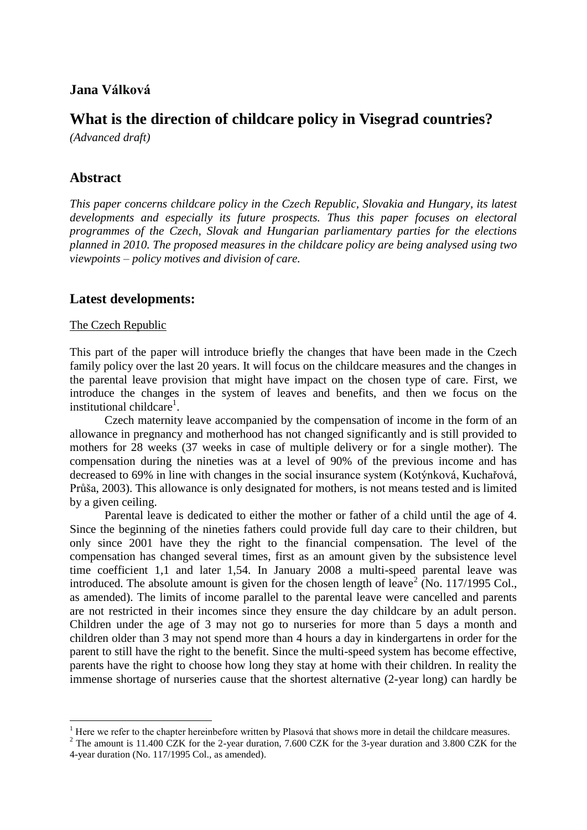## **Jana Válková**

# **What is the direction of childcare policy in Visegrad countries?**

*(Advanced draft)*

# **Abstract**

*This paper concerns childcare policy in the Czech Republic, Slovakia and Hungary, its latest developments and especially its future prospects. Thus this paper focuses on electoral programmes of the Czech, Slovak and Hungarian parliamentary parties for the elections planned in 2010. The proposed measures in the childcare policy are being analysed using two viewpoints – policy motives and division of care.*

## **Latest developments:**

#### The Czech Republic

1

This part of the paper will introduce briefly the changes that have been made in the Czech family policy over the last 20 years. It will focus on the childcare measures and the changes in the parental leave provision that might have impact on the chosen type of care. First, we introduce the changes in the system of leaves and benefits, and then we focus on the institutional childcare<sup>1</sup>.

Czech maternity leave accompanied by the compensation of income in the form of an allowance in pregnancy and motherhood has not changed significantly and is still provided to mothers for 28 weeks (37 weeks in case of multiple delivery or for a single mother). The compensation during the nineties was at a level of 90% of the previous income and has decreased to 69% in line with changes in the social insurance system (Kotýnková, Kuchařová, Průša, 2003). This allowance is only designated for mothers, is not means tested and is limited by a given ceiling.

Parental leave is dedicated to either the mother or father of a child until the age of 4. Since the beginning of the nineties fathers could provide full day care to their children, but only since 2001 have they the right to the financial compensation. The level of the compensation has changed several times, first as an amount given by the subsistence level time coefficient 1,1 and later 1,54. In January 2008 a multi-speed parental leave was introduced. The absolute amount is given for the chosen length of leave<sup>2</sup> (No. 117/1995 Col., as amended). The limits of income parallel to the parental leave were cancelled and parents are not restricted in their incomes since they ensure the day childcare by an adult person. Children under the age of 3 may not go to nurseries for more than 5 days a month and children older than 3 may not spend more than 4 hours a day in kindergartens in order for the parent to still have the right to the benefit. Since the multi-speed system has become effective, parents have the right to choose how long they stay at home with their children. In reality the immense shortage of nurseries cause that the shortest alternative (2-year long) can hardly be

 $<sup>1</sup>$  Here we refer to the chapter hereinbefore written by Plasová that shows more in detail the childcare measures.</sup>

<sup>&</sup>lt;sup>2</sup> The amount is 11.400 CZK for the 2-year duration, 7.600 CZK for the 3-year duration and 3.800 CZK for the 4-year duration (No. 117/1995 Col., as amended).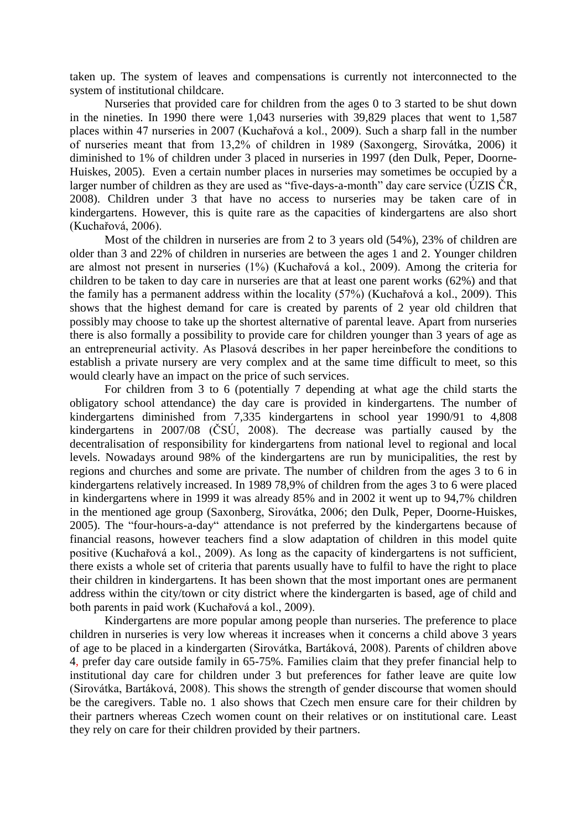taken up. The system of leaves and compensations is currently not interconnected to the system of institutional childcare.

Nurseries that provided care for children from the ages 0 to 3 started to be shut down in the nineties. In 1990 there were 1,043 nurseries with 39,829 places that went to 1,587 places within 47 nurseries in 2007 (Kuchařová a kol., 2009). Such a sharp fall in the number of nurseries meant that from 13,2% of children in 1989 (Saxongerg, Sirovátka, 2006) it diminished to 1% of children under 3 placed in nurseries in 1997 (den Dulk, Peper, Doorne-Huiskes, 2005). Even a certain number places in nurseries may sometimes be occupied by a larger number of children as they are used as "five-days-a-month" day care service (ÚZIS ČR, 2008). Children under 3 that have no access to nurseries may be taken care of in kindergartens. However, this is quite rare as the capacities of kindergartens are also short (Kuchařová, 2006).

Most of the children in nurseries are from 2 to 3 years old (54%), 23% of children are older than 3 and 22% of children in nurseries are between the ages 1 and 2. Younger children are almost not present in nurseries (1%) (Kuchařová a kol., 2009). Among the criteria for children to be taken to day care in nurseries are that at least one parent works (62%) and that the family has a permanent address within the locality (57%) (Kuchařová a kol., 2009). This shows that the highest demand for care is created by parents of 2 year old children that possibly may choose to take up the shortest alternative of parental leave. Apart from nurseries there is also formally a possibility to provide care for children younger than 3 years of age as an entrepreneurial activity. As Plasová describes in her paper hereinbefore the conditions to establish a private nursery are very complex and at the same time difficult to meet, so this would clearly have an impact on the price of such services.

For children from 3 to 6 (potentially 7 depending at what age the child starts the obligatory school attendance) the day care is provided in kindergartens. The number of kindergartens diminished from 7,335 kindergartens in school year 1990/91 to 4,808 kindergartens in 2007/08 (ČSÚ, 2008). The decrease was partially caused by the decentralisation of responsibility for kindergartens from national level to regional and local levels. Nowadays around 98% of the kindergartens are run by municipalities, the rest by regions and churches and some are private. The number of children from the ages 3 to 6 in kindergartens relatively increased. In 1989 78,9% of children from the ages 3 to 6 were placed in kindergartens where in 1999 it was already 85% and in 2002 it went up to 94,7% children in the mentioned age group (Saxonberg, Sirovátka, 2006; den Dulk, Peper, Doorne-Huiskes, 2005). The "four-hours-a-day" attendance is not preferred by the kindergartens because of financial reasons, however teachers find a slow adaptation of children in this model quite positive (Kuchařová a kol., 2009). As long as the capacity of kindergartens is not sufficient, there exists a whole set of criteria that parents usually have to fulfil to have the right to place their children in kindergartens. It has been shown that the most important ones are permanent address within the city/town or city district where the kindergarten is based, age of child and both parents in paid work (Kuchařová a kol., 2009).

Kindergartens are more popular among people than nurseries. The preference to place children in nurseries is very low whereas it increases when it concerns a child above 3 years of age to be placed in a kindergarten (Sirovátka, Bartáková, 2008). Parents of children above 4, prefer day care outside family in 65-75%. Families claim that they prefer financial help to institutional day care for children under 3 but preferences for father leave are quite low (Sirovátka, Bartáková, 2008). This shows the strength of gender discourse that women should be the caregivers. Table no. 1 also shows that Czech men ensure care for their children by their partners whereas Czech women count on their relatives or on institutional care. Least they rely on care for their children provided by their partners.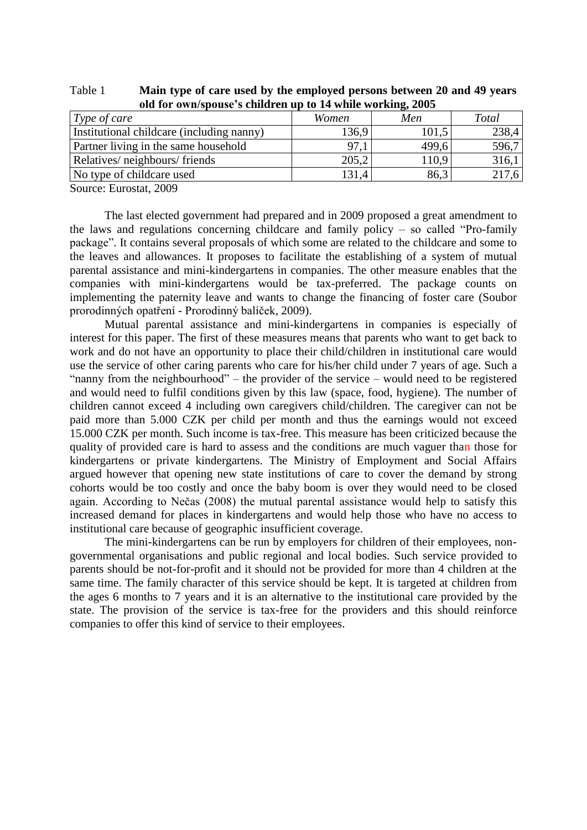| $\frac{1}{2}$ of $\frac{1}{2}$ of $\frac{1}{2}$ or $\frac{1}{2}$ or $\frac{1}{2}$ or $\frac{1}{2}$ or $\frac{1}{2}$ or $\frac{1}{2}$ or $\frac{1}{2}$ or $\frac{1}{2}$ or $\frac{1}{2}$ or $\frac{1}{2}$ or $\frac{1}{2}$ or $\frac{1}{2}$ or $\frac{1}{2}$ or $\frac{1}{2}$ or $\frac{1}{2}$ or |       |       |       |  |  |  |
|--------------------------------------------------------------------------------------------------------------------------------------------------------------------------------------------------------------------------------------------------------------------------------------------------|-------|-------|-------|--|--|--|
| Type of care                                                                                                                                                                                                                                                                                     | Women | Men   | Total |  |  |  |
| Institutional childcare (including nanny)                                                                                                                                                                                                                                                        | 136,9 | 101,5 | 238,4 |  |  |  |
| Partner living in the same household                                                                                                                                                                                                                                                             | 97,1  | 499,6 | 596,7 |  |  |  |
| Relatives/neighbours/friends                                                                                                                                                                                                                                                                     | 205,2 | 110,9 | 316,1 |  |  |  |
| No type of childcare used                                                                                                                                                                                                                                                                        | 131.4 | 86.3  | 217,6 |  |  |  |
| - - - - -                                                                                                                                                                                                                                                                                        |       |       |       |  |  |  |

Table 1 **Main type of care used by the employed persons between 20 and 49 years old for own/spouse's children up to 14 while working, 2005**

Source: Eurostat, 2009

The last elected government had prepared and in 2009 proposed a great amendment to the laws and regulations concerning childcare and family policy – so called "Pro-family package". It contains several proposals of which some are related to the childcare and some to the leaves and allowances. It proposes to facilitate the establishing of a system of mutual parental assistance and mini-kindergartens in companies. The other measure enables that the companies with mini-kindergartens would be tax-preferred. The package counts on implementing the paternity leave and wants to change the financing of foster care (Soubor prorodinných opatření - Prorodinný balíček, 2009).

Mutual parental assistance and mini-kindergartens in companies is especially of interest for this paper. The first of these measures means that parents who want to get back to work and do not have an opportunity to place their child/children in institutional care would use the service of other caring parents who care for his/her child under 7 years of age. Such a "nanny from the neighbourhood" – the provider of the service – would need to be registered and would need to fulfil conditions given by this law (space, food, hygiene). The number of children cannot exceed 4 including own caregivers child/children. The caregiver can not be paid more than 5.000 CZK per child per month and thus the earnings would not exceed 15.000 CZK per month. Such income is tax-free. This measure has been criticized because the quality of provided care is hard to assess and the conditions are much vaguer than those for kindergartens or private kindergartens. The Ministry of Employment and Social Affairs argued however that opening new state institutions of care to cover the demand by strong cohorts would be too costly and once the baby boom is over they would need to be closed again. According to Nečas (2008) the mutual parental assistance would help to satisfy this increased demand for places in kindergartens and would help those who have no access to institutional care because of geographic insufficient coverage.

The mini-kindergartens can be run by employers for children of their employees, nongovernmental organisations and public regional and local bodies. Such service provided to parents should be not-for-profit and it should not be provided for more than 4 children at the same time. The family character of this service should be kept. It is targeted at children from the ages 6 months to 7 years and it is an alternative to the institutional care provided by the state. The provision of the service is tax-free for the providers and this should reinforce companies to offer this kind of service to their employees.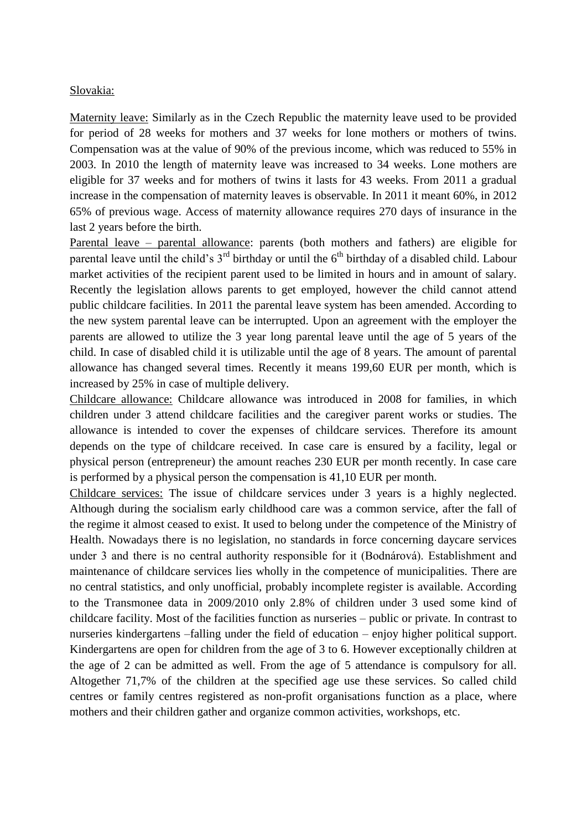#### Slovakia:

Maternity leave: Similarly as in the Czech Republic the maternity leave used to be provided for period of 28 weeks for mothers and 37 weeks for lone mothers or mothers of twins. Compensation was at the value of 90% of the previous income, which was reduced to 55% in 2003. In 2010 the length of maternity leave was increased to 34 weeks. Lone mothers are eligible for 37 weeks and for mothers of twins it lasts for 43 weeks. From 2011 a gradual increase in the compensation of maternity leaves is observable. In 2011 it meant 60%, in 2012 65% of previous wage. Access of maternity allowance requires 270 days of insurance in the last 2 years before the birth.

Parental leave – parental allowance: parents (both mothers and fathers) are eligible for parental leave until the child's  $3<sup>rd</sup>$  birthday or until the  $6<sup>th</sup>$  birthday of a disabled child. Labour market activities of the recipient parent used to be limited in hours and in amount of salary. Recently the legislation allows parents to get employed, however the child cannot attend public childcare facilities. In 2011 the parental leave system has been amended. According to the new system parental leave can be interrupted. Upon an agreement with the employer the parents are allowed to utilize the 3 year long parental leave until the age of 5 years of the child. In case of disabled child it is utilizable until the age of 8 years. The amount of parental allowance has changed several times. Recently it means 199,60 EUR per month, which is increased by 25% in case of multiple delivery.

Childcare allowance: Childcare allowance was introduced in 2008 for families, in which children under 3 attend childcare facilities and the caregiver parent works or studies. The allowance is intended to cover the expenses of childcare services. Therefore its amount depends on the type of childcare received. In case care is ensured by a facility, legal or physical person (entrepreneur) the amount reaches 230 EUR per month recently. In case care is performed by a physical person the compensation is 41,10 EUR per month.

Childcare services: The issue of childcare services under 3 years is a highly neglected. Although during the socialism early childhood care was a common service, after the fall of the regime it almost ceased to exist. It used to belong under the competence of the Ministry of Health. Nowadays there is no legislation, no standards in force concerning daycare services under 3 and there is no central authority responsible for it (Bodnárová). Establishment and maintenance of childcare services lies wholly in the competence of municipalities. There are no central statistics, and only unofficial, probably incomplete register is available. According to the Transmonee data in 2009/2010 only 2.8% of children under 3 used some kind of childcare facility. Most of the facilities function as nurseries – public or private. In contrast to nurseries kindergartens –falling under the field of education – enjoy higher political support. Kindergartens are open for children from the age of 3 to 6. However exceptionally children at the age of 2 can be admitted as well. From the age of 5 attendance is compulsory for all. Altogether 71,7% of the children at the specified age use these services. So called child centres or family centres registered as non-profit organisations function as a place, where mothers and their children gather and organize common activities, workshops, etc.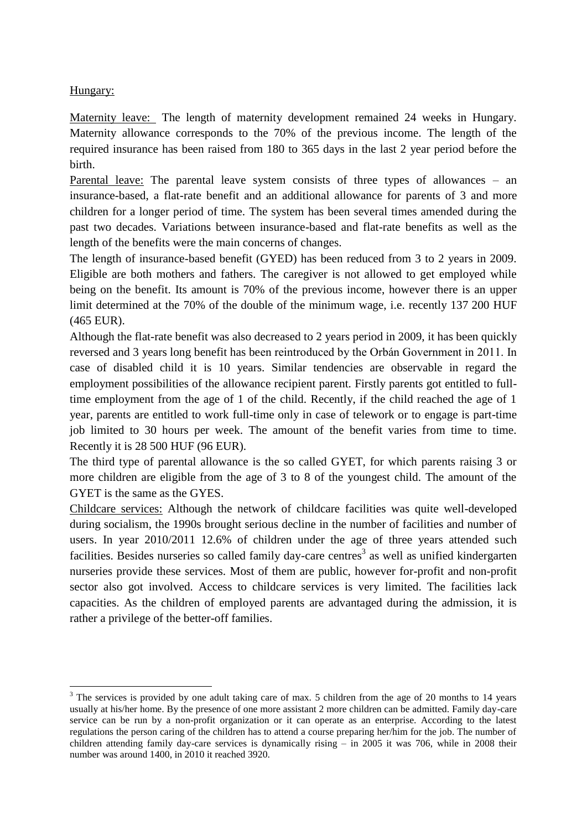## Hungary:

<u>.</u>

Maternity leave: The length of maternity development remained 24 weeks in Hungary. Maternity allowance corresponds to the 70% of the previous income. The length of the required insurance has been raised from 180 to 365 days in the last 2 year period before the birth.

Parental leave: The parental leave system consists of three types of allowances – an insurance-based, a flat-rate benefit and an additional allowance for parents of 3 and more children for a longer period of time. The system has been several times amended during the past two decades. Variations between insurance-based and flat-rate benefits as well as the length of the benefits were the main concerns of changes.

The length of insurance-based benefit (GYED) has been reduced from 3 to 2 years in 2009. Eligible are both mothers and fathers. The caregiver is not allowed to get employed while being on the benefit. Its amount is 70% of the previous income, however there is an upper limit determined at the 70% of the double of the minimum wage, i.e. recently 137 200 HUF (465 EUR).

Although the flat-rate benefit was also decreased to 2 years period in 2009, it has been quickly reversed and 3 years long benefit has been reintroduced by the Orbán Government in 2011. In case of disabled child it is 10 years. Similar tendencies are observable in regard the employment possibilities of the allowance recipient parent. Firstly parents got entitled to fulltime employment from the age of 1 of the child. Recently, if the child reached the age of 1 year, parents are entitled to work full-time only in case of telework or to engage is part-time job limited to 30 hours per week. The amount of the benefit varies from time to time. Recently it is 28 500 HUF (96 EUR).

The third type of parental allowance is the so called GYET, for which parents raising 3 or more children are eligible from the age of 3 to 8 of the youngest child. The amount of the GYET is the same as the GYES.

Childcare services: Although the network of childcare facilities was quite well-developed during socialism, the 1990s brought serious decline in the number of facilities and number of users. In year 2010/2011 12.6% of children under the age of three years attended such facilities. Besides nurseries so called family day-care centres<sup>3</sup> as well as unified kindergarten nurseries provide these services. Most of them are public, however for-profit and non-profit sector also got involved. Access to childcare services is very limited. The facilities lack capacities. As the children of employed parents are advantaged during the admission, it is rather a privilege of the better-off families.

<sup>&</sup>lt;sup>3</sup> The services is provided by one adult taking care of max. 5 children from the age of 20 months to 14 years usually at his/her home. By the presence of one more assistant 2 more children can be admitted. Family day-care service can be run by a non-profit organization or it can operate as an enterprise. According to the latest regulations the person caring of the children has to attend a course preparing her/him for the job. The number of children attending family day-care services is dynamically rising – in 2005 it was 706, while in 2008 their number was around 1400, in 2010 it reached 3920.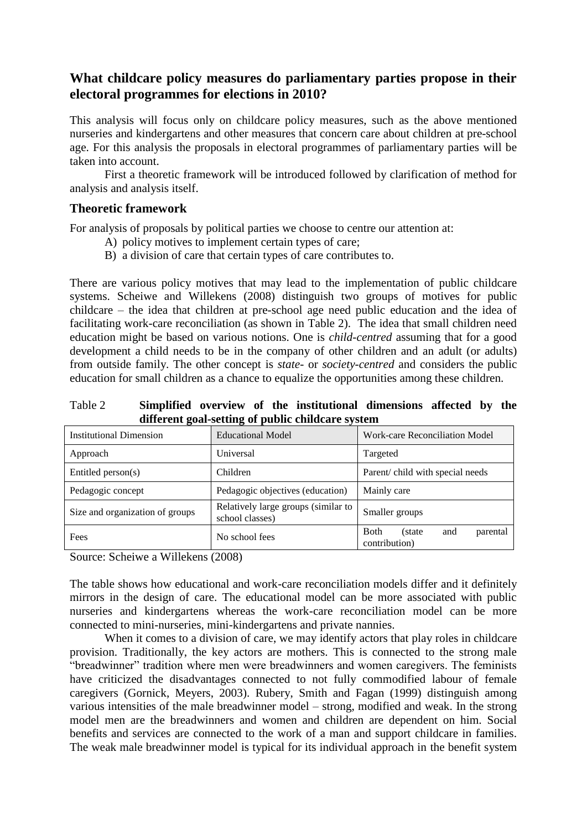# **What childcare policy measures do parliamentary parties propose in their electoral programmes for elections in 2010?**

This analysis will focus only on childcare policy measures, such as the above mentioned nurseries and kindergartens and other measures that concern care about children at pre-school age. For this analysis the proposals in electoral programmes of parliamentary parties will be taken into account.

First a theoretic framework will be introduced followed by clarification of method for analysis and analysis itself.

## **Theoretic framework**

For analysis of proposals by political parties we choose to centre our attention at:

- A) policy motives to implement certain types of care;
- B) a division of care that certain types of care contributes to.

There are various policy motives that may lead to the implementation of public childcare systems. Scheiwe and Willekens (2008) distinguish two groups of motives for public childcare – the idea that children at pre-school age need public education and the idea of facilitating work-care reconciliation (as shown in Table 2). The idea that small children need education might be based on various notions. One is *child-centred* assuming that for a good development a child needs to be in the company of other children and an adult (or adults) from outside family. The other concept is *state-* or *society-centred* and considers the public education for small children as a chance to equalize the opportunities among these children.

Table 2 **Simplified overview of the institutional dimensions affected by the different goal-setting of public childcare system**

| <b>Institutional Dimension</b>  | <b>Educational Model</b>                               | <b>Work-care Reconciliation Model</b>                       |
|---------------------------------|--------------------------------------------------------|-------------------------------------------------------------|
| Approach                        | Universal                                              | Targeted                                                    |
| Entitled person $(s)$           | Children                                               | Parent/child with special needs                             |
| Pedagogic concept               | Pedagogic objectives (education)                       | Mainly care                                                 |
| Size and organization of groups | Relatively large groups (similar to<br>school classes) | Smaller groups                                              |
| Fees                            | No school fees                                         | <b>B</b> oth<br>parental<br>and<br>(state)<br>contribution) |

Source: Scheiwe a Willekens (2008)

The table shows how educational and work-care reconciliation models differ and it definitely mirrors in the design of care. The educational model can be more associated with public nurseries and kindergartens whereas the work-care reconciliation model can be more connected to mini-nurseries, mini-kindergartens and private nannies.

When it comes to a division of care, we may identify actors that play roles in childcare provision. Traditionally, the key actors are mothers. This is connected to the strong male "breadwinner" tradition where men were breadwinners and women caregivers. The feminists have criticized the disadvantages connected to not fully commodified labour of female caregivers (Gornick, Meyers, 2003). Rubery, Smith and Fagan (1999) distinguish among various intensities of the male breadwinner model – strong, modified and weak. In the strong model men are the breadwinners and women and children are dependent on him. Social benefits and services are connected to the work of a man and support childcare in families. The weak male breadwinner model is typical for its individual approach in the benefit system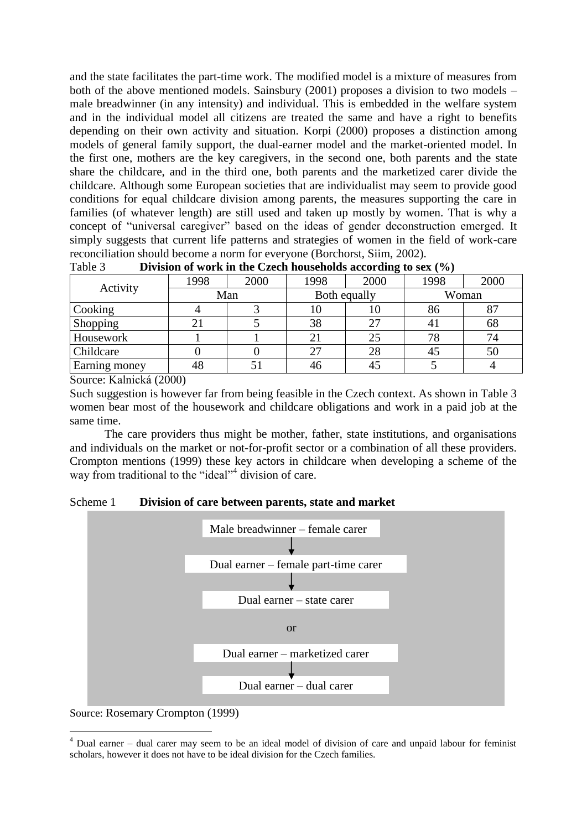and the state facilitates the part-time work. The modified model is a mixture of measures from both of the above mentioned models. Sainsbury (2001) proposes a division to two models – male breadwinner (in any intensity) and individual. This is embedded in the welfare system and in the individual model all citizens are treated the same and have a right to benefits depending on their own activity and situation. Korpi (2000) proposes a distinction among models of general family support, the dual-earner model and the market-oriented model. In the first one, mothers are the key caregivers, in the second one, both parents and the state share the childcare, and in the third one, both parents and the marketized carer divide the childcare. Although some European societies that are individualist may seem to provide good conditions for equal childcare division among parents, the measures supporting the care in families (of whatever length) are still used and taken up mostly by women. That is why a concept of "universal caregiver" based on the ideas of gender deconstruction emerged. It simply suggests that current life patterns and strategies of women in the field of work-care reconciliation should become a norm for everyone (Borchorst, Siim, 2002).

| Activity      | 1998 | 2000 | 1998         | 2000 | 1998  | 2000 |
|---------------|------|------|--------------|------|-------|------|
|               | Man  |      | Both equally |      | Woman |      |
| Cooking       |      |      | 10           | ΙU   | 86    |      |
| Shopping      |      |      | 38           | 27   | 4 J   | 68   |
| Housework     |      |      | 21           | 25   | 78    | 74   |
| Childcare     |      |      | 27           | 28   | 45    | 50   |
| Earning money | 48   |      | 46           | 45   |       |      |

| Table 3 | Division of work in the Czech households according to sex $(\% )$ |  |
|---------|-------------------------------------------------------------------|--|
|---------|-------------------------------------------------------------------|--|

Source: Kalnická (2000)

Such suggestion is however far from being feasible in the Czech context. As shown in Table 3 women bear most of the housework and childcare obligations and work in a paid job at the same time.

The care providers thus might be mother, father, state institutions, and organisations and individuals on the market or not-for-profit sector or a combination of all these providers. Crompton mentions (1999) these key actors in childcare when developing a scheme of the way from traditional to the "ideal"<sup>4</sup> division of care.

#### Scheme 1 **Division of care between parents, state and market**



Source: Rosemary Crompton (1999)

<u>.</u>

<sup>4</sup> Dual earner – dual carer may seem to be an ideal model of division of care and unpaid labour for feminist scholars, however it does not have to be ideal division for the Czech families.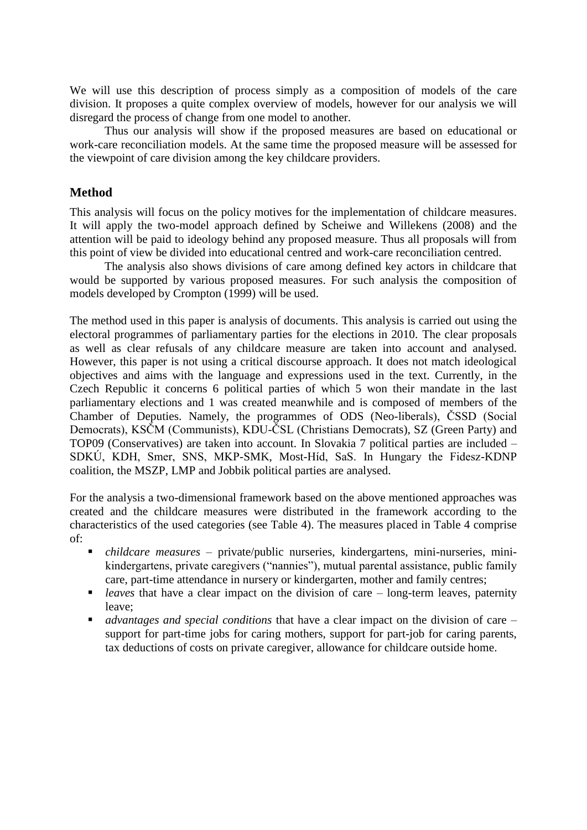We will use this description of process simply as a composition of models of the care division. It proposes a quite complex overview of models, however for our analysis we will disregard the process of change from one model to another.

Thus our analysis will show if the proposed measures are based on educational or work-care reconciliation models. At the same time the proposed measure will be assessed for the viewpoint of care division among the key childcare providers.

## **Method**

This analysis will focus on the policy motives for the implementation of childcare measures. It will apply the two-model approach defined by Scheiwe and Willekens (2008) and the attention will be paid to ideology behind any proposed measure. Thus all proposals will from this point of view be divided into educational centred and work-care reconciliation centred.

The analysis also shows divisions of care among defined key actors in childcare that would be supported by various proposed measures. For such analysis the composition of models developed by Crompton (1999) will be used.

The method used in this paper is analysis of documents. This analysis is carried out using the electoral programmes of parliamentary parties for the elections in 2010. The clear proposals as well as clear refusals of any childcare measure are taken into account and analysed. However, this paper is not using a critical discourse approach. It does not match ideological objectives and aims with the language and expressions used in the text. Currently, in the Czech Republic it concerns 6 political parties of which 5 won their mandate in the last parliamentary elections and 1 was created meanwhile and is composed of members of the Chamber of Deputies. Namely, the programmes of ODS (Neo-liberals), ČSSD (Social Democrats), KSČM (Communists), KDU-ČSL (Christians Democrats), SZ (Green Party) and TOP09 (Conservatives) are taken into account. In Slovakia 7 political parties are included – SDKÚ, KDH, Smer, SNS, MKP-SMK, Most-Híd, SaS. In Hungary the Fidesz-KDNP coalition, the MSZP, LMP and Jobbik political parties are analysed.

For the analysis a two-dimensional framework based on the above mentioned approaches was created and the childcare measures were distributed in the framework according to the characteristics of the used categories (see Table 4). The measures placed in Table 4 comprise of:

- *childcare measures* private/public nurseries, kindergartens, mini-nurseries, minikindergartens, private caregivers ("nannies"), mutual parental assistance, public family care, part-time attendance in nursery or kindergarten, mother and family centres;
- *leaves* that have a clear impact on the division of care long-term leaves, paternity leave;
- *advantages and special conditions* that have a clear impact on the division of care support for part-time jobs for caring mothers, support for part-job for caring parents, tax deductions of costs on private caregiver, allowance for childcare outside home.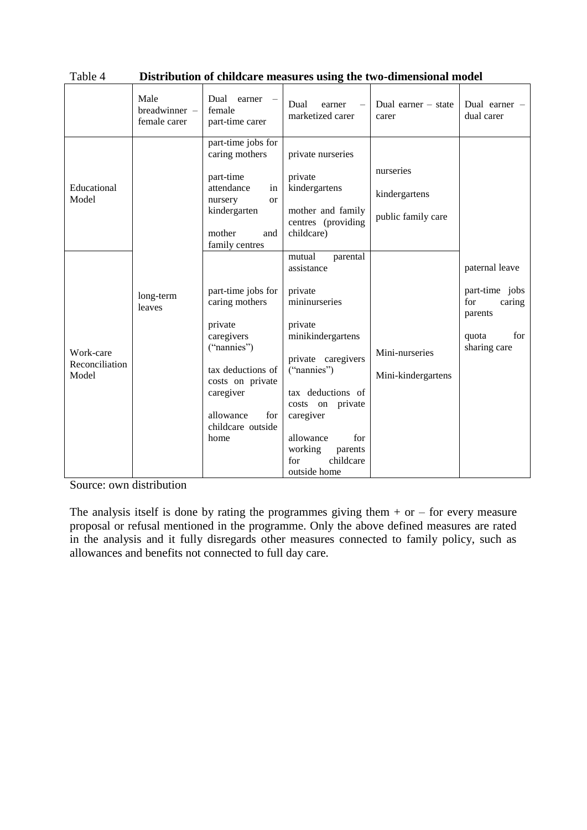|                                      | Male<br>breadwinner -<br>female carer | Dual earner<br>female<br>part-time carer                                                                                                                                            | Dual<br>earner<br>marketized carer                                                                                                                                                                                                                                    | Dual earner $-$ state<br>carer                   | Dual earner -<br>dual carer                                                                  |
|--------------------------------------|---------------------------------------|-------------------------------------------------------------------------------------------------------------------------------------------------------------------------------------|-----------------------------------------------------------------------------------------------------------------------------------------------------------------------------------------------------------------------------------------------------------------------|--------------------------------------------------|----------------------------------------------------------------------------------------------|
| Educational<br>Model                 |                                       | part-time jobs for<br>caring mothers<br>part-time<br>attendance<br>in<br>nursery<br><sub>or</sub><br>kindergarten<br>mother<br>and<br>family centres                                | private nurseries<br>private<br>kindergartens<br>mother and family<br>centres (providing<br>childcare)                                                                                                                                                                | nurseries<br>kindergartens<br>public family care |                                                                                              |
| Work-care<br>Reconciliation<br>Model | long-term<br>leaves                   | part-time jobs for<br>caring mothers<br>private<br>caregivers<br>("nannies")<br>tax deductions of<br>costs on private<br>caregiver<br>allowance<br>for<br>childcare outside<br>home | parental<br>mutual<br>assistance<br>private<br>mininurseries<br>private<br>minikindergartens<br>private caregivers<br>("nannies")<br>tax deductions of<br>costs on private<br>caregiver<br>allowance<br>for<br>working<br>parents<br>childcare<br>for<br>outside home | Mini-nurseries<br>Mini-kindergartens             | paternal leave<br>part-time jobs<br>for<br>caring<br>parents<br>for<br>quota<br>sharing care |

| Table 4 |  | Distribution of childcare measures using the two-dimensional model |
|---------|--|--------------------------------------------------------------------|
|---------|--|--------------------------------------------------------------------|

Source: own distribution

The analysis itself is done by rating the programmes giving them  $+$  or  $-$  for every measure proposal or refusal mentioned in the programme. Only the above defined measures are rated in the analysis and it fully disregards other measures connected to family policy, such as allowances and benefits not connected to full day care.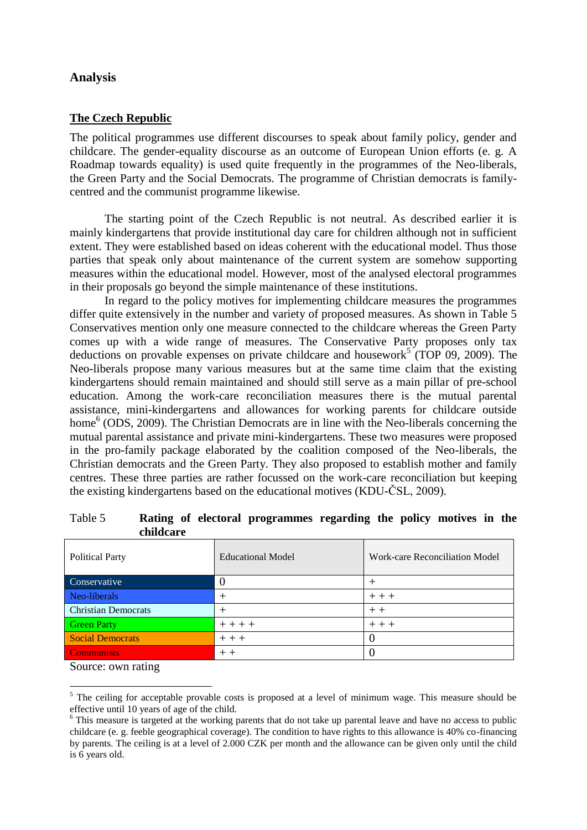## **Analysis**

#### **The Czech Republic**

The political programmes use different discourses to speak about family policy, gender and childcare. The gender-equality discourse as an outcome of European Union efforts (e. g. A Roadmap towards equality) is used quite frequently in the programmes of the Neo-liberals, the Green Party and the Social Democrats. The programme of Christian democrats is familycentred and the communist programme likewise.

The starting point of the Czech Republic is not neutral. As described earlier it is mainly kindergartens that provide institutional day care for children although not in sufficient extent. They were established based on ideas coherent with the educational model. Thus those parties that speak only about maintenance of the current system are somehow supporting measures within the educational model. However, most of the analysed electoral programmes in their proposals go beyond the simple maintenance of these institutions.

In regard to the policy motives for implementing childcare measures the programmes differ quite extensively in the number and variety of proposed measures. As shown in Table 5 Conservatives mention only one measure connected to the childcare whereas the Green Party comes up with a wide range of measures. The Conservative Party proposes only tax deductions on provable expenses on private childcare and housework<sup>5</sup> (TOP 09, 2009). The Neo-liberals propose many various measures but at the same time claim that the existing kindergartens should remain maintained and should still serve as a main pillar of pre-school education. Among the work-care reconciliation measures there is the mutual parental assistance, mini-kindergartens and allowances for working parents for childcare outside home<sup>6</sup> (ODS, 2009). The Christian Democrats are in line with the Neo-liberals concerning the mutual parental assistance and private mini-kindergartens. These two measures were proposed in the pro-family package elaborated by the coalition composed of the Neo-liberals, the Christian democrats and the Green Party. They also proposed to establish mother and family centres. These three parties are rather focussed on the work-care reconciliation but keeping the existing kindergartens based on the educational motives (KDU-ČSL, 2009).

| <b>Political Party</b>     | <b>Educational Model</b> | Work-care Reconciliation Model |  |  |  |
|----------------------------|--------------------------|--------------------------------|--|--|--|
| Conservative               |                          |                                |  |  |  |
| Neo-liberals               |                          | $++$ $+$                       |  |  |  |
| <b>Christian Democrats</b> |                          | $++$                           |  |  |  |
| <b>Green Party</b>         | $+ + + +$                | $++$                           |  |  |  |
| <b>Social Democrats</b>    | $++$                     |                                |  |  |  |
| <b>Communists</b>          | $++$                     |                                |  |  |  |

Table 5 **Rating of electoral programmes regarding the policy motives in the childcare**

Source: own rating

<u>.</u>

 $<sup>5</sup>$  The ceiling for acceptable provable costs is proposed at a level of minimum wage. This measure should be</sup> effective until 10 years of age of the child.

<sup>&</sup>lt;sup>6</sup> This measure is targeted at the working parents that do not take up parental leave and have no access to public childcare (e. g. feeble geographical coverage). The condition to have rights to this allowance is 40% co-financing by parents. The ceiling is at a level of 2.000 CZK per month and the allowance can be given only until the child is 6 years old.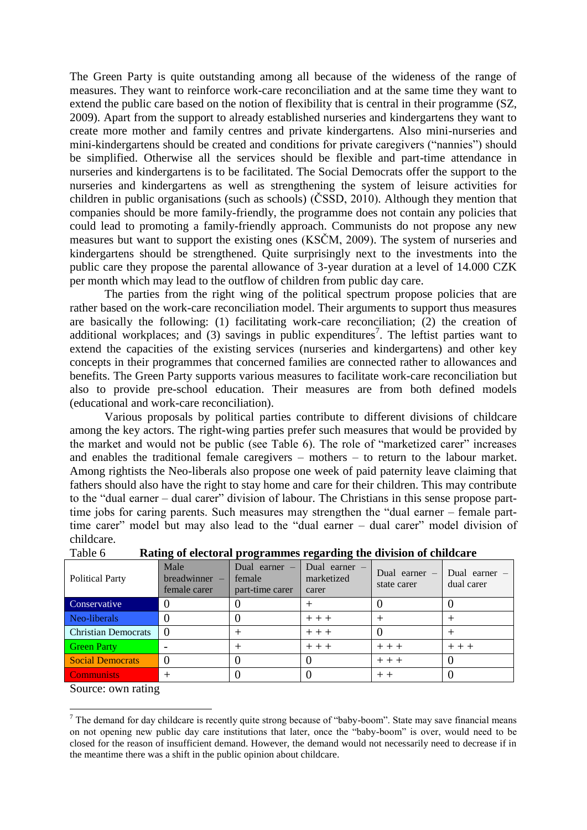The Green Party is quite outstanding among all because of the wideness of the range of measures. They want to reinforce work-care reconciliation and at the same time they want to extend the public care based on the notion of flexibility that is central in their programme (SZ, 2009). Apart from the support to already established nurseries and kindergartens they want to create more mother and family centres and private kindergartens. Also mini-nurseries and mini-kindergartens should be created and conditions for private caregivers ("nannies") should be simplified. Otherwise all the services should be flexible and part-time attendance in nurseries and kindergartens is to be facilitated. The Social Democrats offer the support to the nurseries and kindergartens as well as strengthening the system of leisure activities for children in public organisations (such as schools) (ČSSD, 2010). Although they mention that companies should be more family-friendly, the programme does not contain any policies that could lead to promoting a family-friendly approach. Communists do not propose any new measures but want to support the existing ones (KSČM, 2009). The system of nurseries and kindergartens should be strengthened. Quite surprisingly next to the investments into the public care they propose the parental allowance of 3-year duration at a level of 14.000 CZK per month which may lead to the outflow of children from public day care.

The parties from the right wing of the political spectrum propose policies that are rather based on the work-care reconciliation model. Their arguments to support thus measures are basically the following: (1) facilitating work-care reconciliation; (2) the creation of additional workplaces; and  $(3)$  savings in public expenditures<sup>7</sup>. The leftist parties want to extend the capacities of the existing services (nurseries and kindergartens) and other key concepts in their programmes that concerned families are connected rather to allowances and benefits. The Green Party supports various measures to facilitate work-care reconciliation but also to provide pre-school education. Their measures are from both defined models (educational and work-care reconciliation).

Various proposals by political parties contribute to different divisions of childcare among the key actors. The right-wing parties prefer such measures that would be provided by the market and would not be public (see Table 6). The role of "marketized carer" increases and enables the traditional female caregivers – mothers – to return to the labour market. Among rightists the Neo-liberals also propose one week of paid paternity leave claiming that fathers should also have the right to stay home and care for their children. This may contribute to the "dual earner – dual carer" division of labour. The Christians in this sense propose parttime jobs for caring parents. Such measures may strengthen the "dual earner – female parttime carer" model but may also lead to the "dual earner – dual carer" model division of childcare.

| <b>Political Party</b>     | Male<br>$breadwinner -$<br>female carer | Dual earner $-$<br>female<br>part-time carer | Dual earner $-$<br>marketized<br>carer | Dual earner $-$<br>state carer | Dual earner $-$<br>dual carer |
|----------------------------|-----------------------------------------|----------------------------------------------|----------------------------------------|--------------------------------|-------------------------------|
| Conservative               |                                         |                                              |                                        |                                |                               |
| Neo-liberals               |                                         |                                              | $++$                                   |                                |                               |
| <b>Christian Democrats</b> |                                         |                                              | $++$                                   |                                |                               |
| <b>Green Party</b>         |                                         |                                              | $++$                                   | $++$                           | $++$ $+$                      |
| <b>Social Democrats</b>    |                                         |                                              |                                        | $++$                           |                               |
| Communists                 |                                         |                                              |                                        |                                |                               |

Table 6 **Rating of electoral programmes regarding the division of childcare**

Source: own rating

1

<sup>&</sup>lt;sup>7</sup> The demand for day childcare is recently quite strong because of "baby-boom". State may save financial means on not opening new public day care institutions that later, once the "baby-boom" is over, would need to be closed for the reason of insufficient demand. However, the demand would not necessarily need to decrease if in the meantime there was a shift in the public opinion about childcare.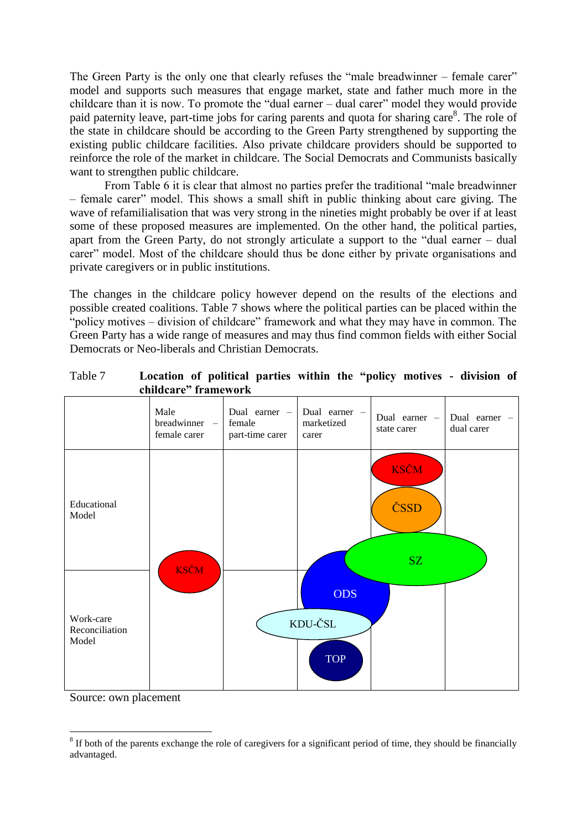The Green Party is the only one that clearly refuses the "male breadwinner – female carer" model and supports such measures that engage market, state and father much more in the childcare than it is now. To promote the "dual earner – dual carer" model they would provide paid paternity leave, part-time jobs for caring parents and quota for sharing care<sup>8</sup>. The role of the state in childcare should be according to the Green Party strengthened by supporting the existing public childcare facilities. Also private childcare providers should be supported to reinforce the role of the market in childcare. The Social Democrats and Communists basically want to strengthen public childcare.

From Table 6 it is clear that almost no parties prefer the traditional "male breadwinner – female carer" model. This shows a small shift in public thinking about care giving. The wave of refamilialisation that was very strong in the nineties might probably be over if at least some of these proposed measures are implemented. On the other hand, the political parties, apart from the Green Party, do not strongly articulate a support to the "dual earner – dual carer" model. Most of the childcare should thus be done either by private organisations and private caregivers or in public institutions.

The changes in the childcare policy however depend on the results of the elections and possible created coalitions. Table 7 shows where the political parties can be placed within the "policy motives – division of childcare" framework and what they may have in common. The Green Party has a wide range of measures and may thus find common fields with either Social Democrats or Neo-liberals and Christian Democrats.

|                                      | Male<br>breadwinner -<br>female carer | Dual earner -<br>female<br>part-time carer | Dual earner -<br>marketized<br>carer | Dual earner -<br>state carer | Dual earner -<br>dual carer |
|--------------------------------------|---------------------------------------|--------------------------------------------|--------------------------------------|------------------------------|-----------------------------|
| Educational<br>Model                 |                                       |                                            |                                      | <b>KSČM</b><br>ČSSD          |                             |
| Work-care<br>Reconciliation<br>Model | <b>KSČM</b>                           |                                            | <b>ODS</b><br>KDU-ČSL<br><b>TOP</b>  | SZ                           |                             |

| Table 7 | Location of political parties within the "policy motives - division of |  |  |  |  |  |
|---------|------------------------------------------------------------------------|--|--|--|--|--|
|         | childcare" framework                                                   |  |  |  |  |  |

Source: own placement

<sup>&</sup>lt;u>.</u>  $8$  If both of the parents exchange the role of caregivers for a significant period of time, they should be financially advantaged.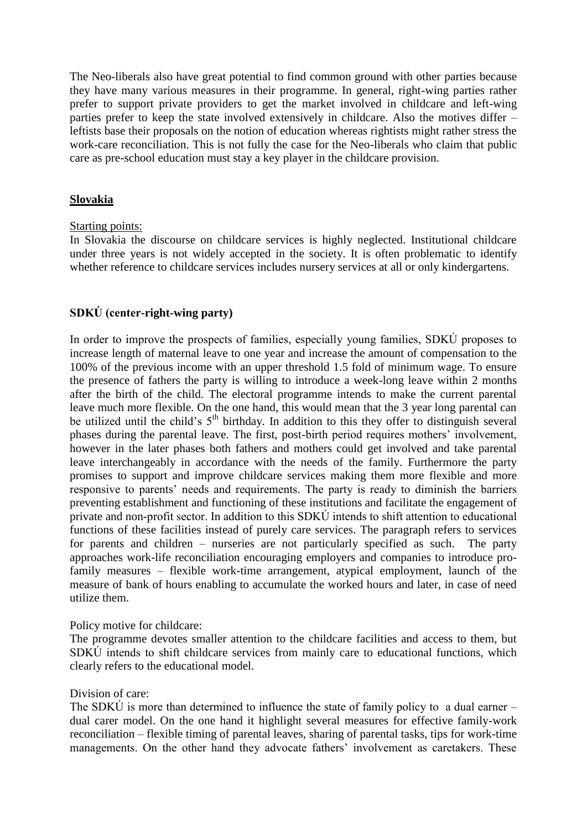The Neo-liberals also have great potential to find common ground with other parties because they have many various measures in their programme. In general, right-wing parties rather prefer to support private providers to get the market involved in childcare and left-wing parties prefer to keep the state involved extensively in childcare. Also the motives differ – leftists base their proposals on the notion of education whereas rightists might rather stress the work-care reconciliation. This is not fully the case for the Neo-liberals who claim that public care as pre-school education must stay a key player in the childcare provision.

#### **Slovakia**

#### Starting points:

In Slovakia the discourse on childcare services is highly neglected. Institutional childcare under three years is not widely accepted in the society. It is often problematic to identify whether reference to childcare services includes nursery services at all or only kindergartens.

#### **SDKÚ (center-right-wing party)**

In order to improve the prospects of families, especially young families, SDKÚ proposes to increase length of maternal leave to one year and increase the amount of compensation to the 100% of the previous income with an upper threshold 1.5 fold of minimum wage. To ensure the presence of fathers the party is willing to introduce a week-long leave within 2 months after the birth of the child. The electoral programme intends to make the current parental leave much more flexible. On the one hand, this would mean that the 3 year long parental can be utilized until the child's  $5<sup>th</sup>$  birthday. In addition to this they offer to distinguish several phases during the parental leave. The first, post-birth period requires mothers' involvement, however in the later phases both fathers and mothers could get involved and take parental leave interchangeably in accordance with the needs of the family. Furthermore the party promises to support and improve childcare services making them more flexible and more responsive to parents' needs and requirements. The party is ready to diminish the barriers preventing establishment and functioning of these institutions and facilitate the engagement of private and non-profit sector. In addition to this SDKÚ intends to shift attention to educational functions of these facilities instead of purely care services. The paragraph refers to services for parents and children – nurseries are not particularly specified as such. The party approaches work-life reconciliation encouraging employers and companies to introduce profamily measures – flexible work-time arrangement, atypical employment, launch of the measure of bank of hours enabling to accumulate the worked hours and later, in case of need utilize them.

#### Policy motive for childcare:

The programme devotes smaller attention to the childcare facilities and access to them, but SDKÚ intends to shift childcare services from mainly care to educational functions, which clearly refers to the educational model.

#### Division of care:

The SDKU is more than determined to influence the state of family policy to a dual earner – dual carer model. On the one hand it highlight several measures for effective family-work reconciliation – flexible timing of parental leaves, sharing of parental tasks, tips for work-time managements. On the other hand they advocate fathers' involvement as caretakers. These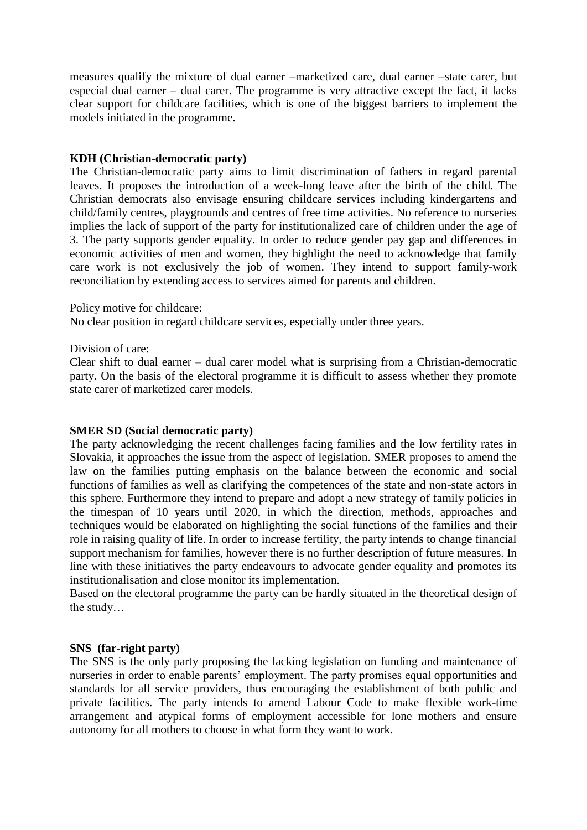measures qualify the mixture of dual earner –marketized care, dual earner –state carer, but especial dual earner – dual carer. The programme is very attractive except the fact, it lacks clear support for childcare facilities, which is one of the biggest barriers to implement the models initiated in the programme.

#### **KDH (Christian-democratic party)**

The Christian-democratic party aims to limit discrimination of fathers in regard parental leaves. It proposes the introduction of a week-long leave after the birth of the child. The Christian democrats also envisage ensuring childcare services including kindergartens and child/family centres, playgrounds and centres of free time activities. No reference to nurseries implies the lack of support of the party for institutionalized care of children under the age of 3. The party supports gender equality. In order to reduce gender pay gap and differences in economic activities of men and women, they highlight the need to acknowledge that family care work is not exclusively the job of women. They intend to support family-work reconciliation by extending access to services aimed for parents and children.

Policy motive for childcare:

No clear position in regard childcare services, especially under three years.

Division of care:

Clear shift to dual earner – dual carer model what is surprising from a Christian-democratic party. On the basis of the electoral programme it is difficult to assess whether they promote state carer of marketized carer models.

#### **SMER SD (Social democratic party)**

The party acknowledging the recent challenges facing families and the low fertility rates in Slovakia, it approaches the issue from the aspect of legislation. SMER proposes to amend the law on the families putting emphasis on the balance between the economic and social functions of families as well as clarifying the competences of the state and non-state actors in this sphere. Furthermore they intend to prepare and adopt a new strategy of family policies in the timespan of 10 years until 2020, in which the direction, methods, approaches and techniques would be elaborated on highlighting the social functions of the families and their role in raising quality of life. In order to increase fertility, the party intends to change financial support mechanism for families, however there is no further description of future measures. In line with these initiatives the party endeavours to advocate gender equality and promotes its institutionalisation and close monitor its implementation.

Based on the electoral programme the party can be hardly situated in the theoretical design of the study…

#### **SNS (far-right party)**

The SNS is the only party proposing the lacking legislation on funding and maintenance of nurseries in order to enable parents' employment. The party promises equal opportunities and standards for all service providers, thus encouraging the establishment of both public and private facilities. The party intends to amend Labour Code to make flexible work-time arrangement and atypical forms of employment accessible for lone mothers and ensure autonomy for all mothers to choose in what form they want to work.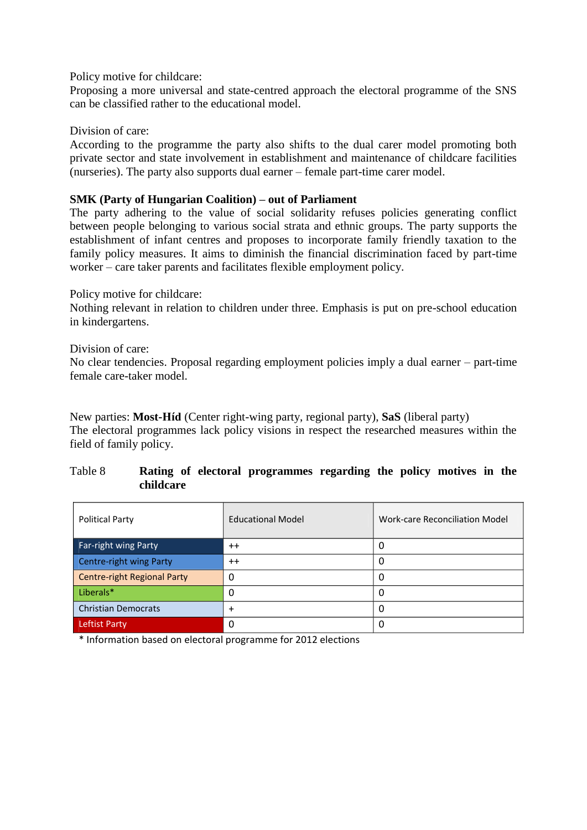Policy motive for childcare:

Proposing a more universal and state-centred approach the electoral programme of the SNS can be classified rather to the educational model.

Division of care:

According to the programme the party also shifts to the dual carer model promoting both private sector and state involvement in establishment and maintenance of childcare facilities (nurseries). The party also supports dual earner – female part-time carer model.

#### **SMK (Party of Hungarian Coalition) – out of Parliament**

The party adhering to the value of social solidarity refuses policies generating conflict between people belonging to various social strata and ethnic groups. The party supports the establishment of infant centres and proposes to incorporate family friendly taxation to the family policy measures. It aims to diminish the financial discrimination faced by part-time worker – care taker parents and facilitates flexible employment policy.

#### Policy motive for childcare:

Nothing relevant in relation to children under three. Emphasis is put on pre-school education in kindergartens.

#### Division of care:

No clear tendencies. Proposal regarding employment policies imply a dual earner – part-time female care-taker model.

New parties: **Most-Híd** (Center right-wing party, regional party), **SaS** (liberal party) The electoral programmes lack policy visions in respect the researched measures within the field of family policy.

## Table 8 **Rating of electoral programmes regarding the policy motives in the childcare**

| <b>Political Party</b>             | <b>Educational Model</b> | <b>Work-care Reconciliation Model</b> |
|------------------------------------|--------------------------|---------------------------------------|
| Far-right wing Party               | $++$                     | 0                                     |
| Centre-right wing Party            | $++$                     | 0                                     |
| <b>Centre-right Regional Party</b> | 0                        | 0                                     |
| Liberals*                          |                          | 0                                     |
| <b>Christian Democrats</b>         | $\ddot{}$                | $\Omega$                              |
| Leftist Party                      | 0                        | 0                                     |

\* Information based on electoral programme for 2012 elections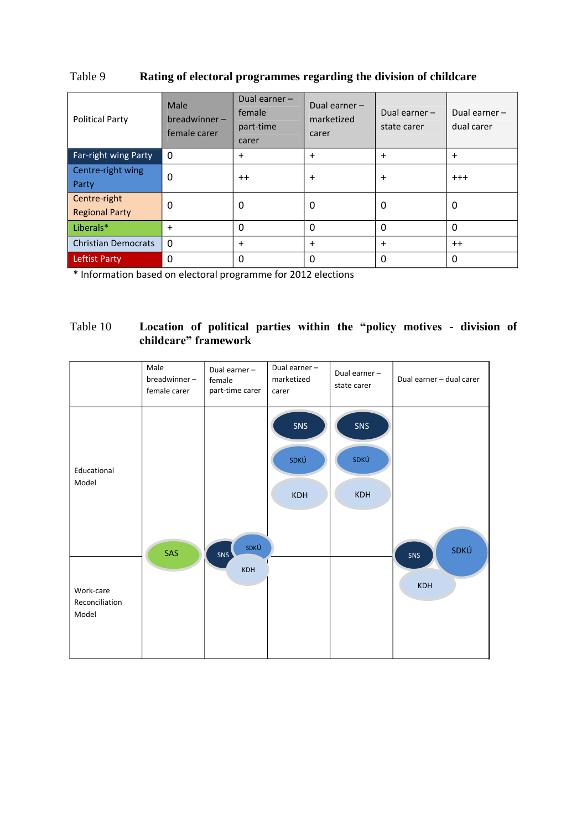| <b>Political Party</b>                | Male<br>$breadwinner -$<br>female carer | Dual earner -<br>female<br>part-time<br>carer | Dual earner -<br>marketized<br>carer | Dual earner $-$<br>state carer | Dual earner -<br>dual carer |
|---------------------------------------|-----------------------------------------|-----------------------------------------------|--------------------------------------|--------------------------------|-----------------------------|
| <b>Far-right wing Party</b>           | $\Omega$                                | $+$                                           | $\ddot{}$                            | $\ddot{}$                      | $\ddot{}$                   |
| Centre-right wing<br>Party            | 0                                       | $++$                                          | $\ddot{}$                            | $\ddot{}$                      | $+ + +$                     |
| Centre-right<br><b>Regional Party</b> | 0                                       | 0                                             | 0                                    | 0                              | 0                           |
| Liberals*                             | $\ddot{}$                               | $\Omega$                                      | 0                                    | 0                              | $\Omega$                    |
| <b>Christian Democrats</b>            | 0                                       | $+$                                           | $\ddot{}$                            | $\ddot{}$                      | $++$                        |
| <b>Leftist Party</b>                  | $\Omega$                                | $\Omega$                                      | 0                                    | 0                              | 0                           |

## Table 9 **Rating of electoral programmes regarding the division of childcare**

\* Information based on electoral programme for 2012 elections

## Table 10 **Location of political parties within the "policy motives - division of childcare" framework**

|                                      | Male<br>breadwinner-<br>female carer | Dual earner -<br>female<br>part-time carer | Dual earner -<br>marketized<br>carer | Dual earner -<br>state carer | Dual earner - dual carer |
|--------------------------------------|--------------------------------------|--------------------------------------------|--------------------------------------|------------------------------|--------------------------|
| Educational<br>Model                 |                                      |                                            | SNS<br>SDKÚ<br>KDH                   | SNS<br>SDKÚ<br><b>KDH</b>    |                          |
| Work-care<br>Reconciliation<br>Model | SAS                                  | SDKÚ<br>SNS<br>KDH                         |                                      |                              | SDKÚ<br>SNS<br>KDH       |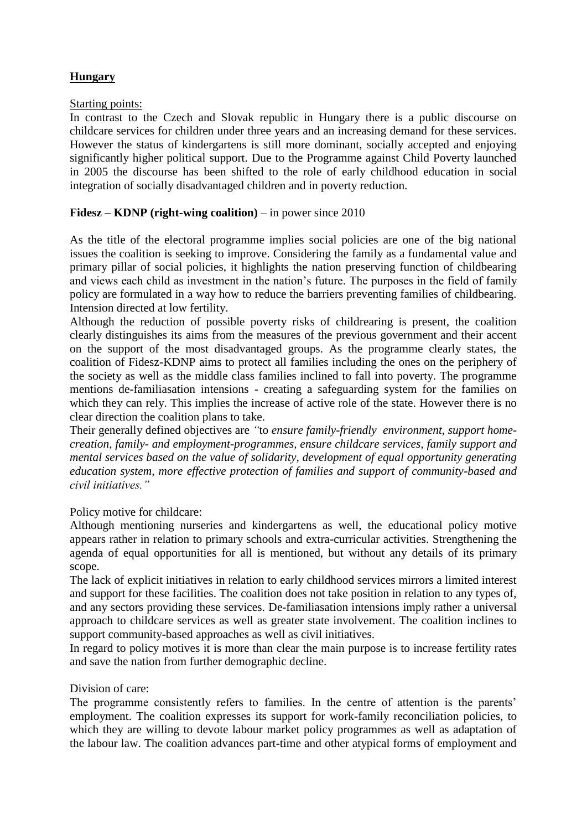## **Hungary**

#### Starting points:

In contrast to the Czech and Slovak republic in Hungary there is a public discourse on childcare services for children under three years and an increasing demand for these services. However the status of kindergartens is still more dominant, socially accepted and enjoying significantly higher political support. Due to the Programme against Child Poverty launched in 2005 the discourse has been shifted to the role of early childhood education in social integration of socially disadvantaged children and in poverty reduction.

#### **Fidesz – KDNP (right-wing coalition)** – in power since 2010

As the title of the electoral programme implies social policies are one of the big national issues the coalition is seeking to improve. Considering the family as a fundamental value and primary pillar of social policies, it highlights the nation preserving function of childbearing and views each child as investment in the nation's future. The purposes in the field of family policy are formulated in a way how to reduce the barriers preventing families of childbearing. Intension directed at low fertility.

Although the reduction of possible poverty risks of childrearing is present, the coalition clearly distinguishes its aims from the measures of the previous government and their accent on the support of the most disadvantaged groups. As the programme clearly states, the coalition of Fidesz-KDNP aims to protect all families including the ones on the periphery of the society as well as the middle class families inclined to fall into poverty. The programme mentions de-familiasation intensions - creating a safeguarding system for the families on which they can rely. This implies the increase of active role of the state. However there is no clear direction the coalition plans to take.

Their generally defined objectives are *"*to *ensure family-friendly environment, support homecreation, family- and employment-programmes, ensure childcare services, family support and mental services based on the value of solidarity, development of equal opportunity generating education system, more effective protection of families and support of community-based and civil initiatives."*

Policy motive for childcare:

Although mentioning nurseries and kindergartens as well, the educational policy motive appears rather in relation to primary schools and extra-curricular activities. Strengthening the agenda of equal opportunities for all is mentioned, but without any details of its primary scope.

The lack of explicit initiatives in relation to early childhood services mirrors a limited interest and support for these facilities. The coalition does not take position in relation to any types of, and any sectors providing these services. De-familiasation intensions imply rather a universal approach to childcare services as well as greater state involvement. The coalition inclines to support community-based approaches as well as civil initiatives.

In regard to policy motives it is more than clear the main purpose is to increase fertility rates and save the nation from further demographic decline.

#### Division of care:

The programme consistently refers to families. In the centre of attention is the parents' employment. The coalition expresses its support for work-family reconciliation policies, to which they are willing to devote labour market policy programmes as well as adaptation of the labour law. The coalition advances part-time and other atypical forms of employment and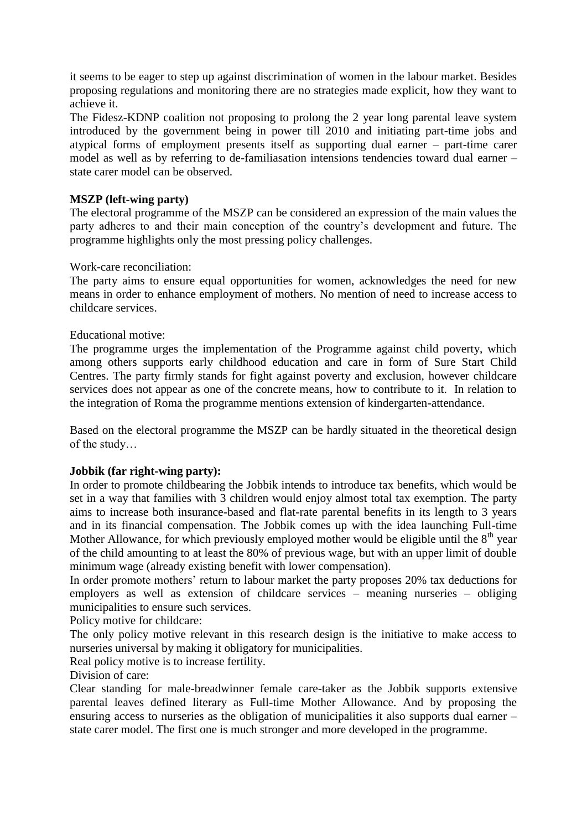it seems to be eager to step up against discrimination of women in the labour market. Besides proposing regulations and monitoring there are no strategies made explicit, how they want to achieve it.

The Fidesz-KDNP coalition not proposing to prolong the 2 year long parental leave system introduced by the government being in power till 2010 and initiating part-time jobs and atypical forms of employment presents itself as supporting dual earner – part-time carer model as well as by referring to de-familiasation intensions tendencies toward dual earner – state carer model can be observed.

## **MSZP (left-wing party)**

The electoral programme of the MSZP can be considered an expression of the main values the party adheres to and their main conception of the country's development and future. The programme highlights only the most pressing policy challenges.

#### Work-care reconciliation:

The party aims to ensure equal opportunities for women, acknowledges the need for new means in order to enhance employment of mothers. No mention of need to increase access to childcare services.

#### Educational motive:

The programme urges the implementation of the Programme against child poverty, which among others supports early childhood education and care in form of Sure Start Child Centres. The party firmly stands for fight against poverty and exclusion, however childcare services does not appear as one of the concrete means, how to contribute to it. In relation to the integration of Roma the programme mentions extension of kindergarten-attendance.

Based on the electoral programme the MSZP can be hardly situated in the theoretical design of the study…

## **Jobbik (far right-wing party):**

In order to promote childbearing the Jobbik intends to introduce tax benefits, which would be set in a way that families with 3 children would enjoy almost total tax exemption. The party aims to increase both insurance-based and flat-rate parental benefits in its length to 3 years and in its financial compensation. The Jobbik comes up with the idea launching Full-time Mother Allowance, for which previously employed mother would be eligible until the  $8<sup>th</sup>$  year of the child amounting to at least the 80% of previous wage, but with an upper limit of double minimum wage (already existing benefit with lower compensation).

In order promote mothers' return to labour market the party proposes 20% tax deductions for employers as well as extension of childcare services – meaning nurseries – obliging municipalities to ensure such services.

Policy motive for childcare:

The only policy motive relevant in this research design is the initiative to make access to nurseries universal by making it obligatory for municipalities.

Real policy motive is to increase fertility.

Division of care:

Clear standing for male-breadwinner female care-taker as the Jobbik supports extensive parental leaves defined literary as Full-time Mother Allowance. And by proposing the ensuring access to nurseries as the obligation of municipalities it also supports dual earner – state carer model. The first one is much stronger and more developed in the programme.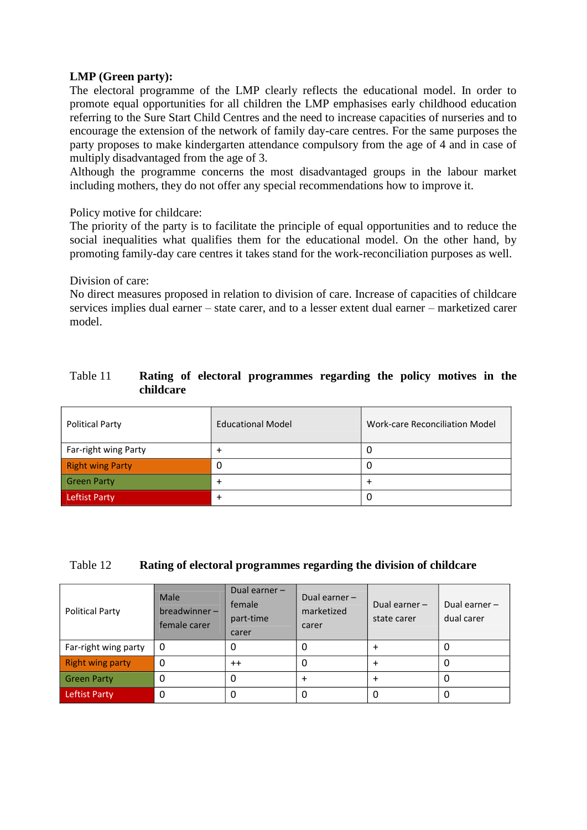## **LMP (Green party):**

The electoral programme of the LMP clearly reflects the educational model. In order to promote equal opportunities for all children the LMP emphasises early childhood education referring to the Sure Start Child Centres and the need to increase capacities of nurseries and to encourage the extension of the network of family day-care centres. For the same purposes the party proposes to make kindergarten attendance compulsory from the age of 4 and in case of multiply disadvantaged from the age of 3.

Although the programme concerns the most disadvantaged groups in the labour market including mothers, they do not offer any special recommendations how to improve it.

Policy motive for childcare:

The priority of the party is to facilitate the principle of equal opportunities and to reduce the social inequalities what qualifies them for the educational model. On the other hand, by promoting family-day care centres it takes stand for the work-reconciliation purposes as well.

Division of care:

No direct measures proposed in relation to division of care. Increase of capacities of childcare services implies dual earner – state carer, and to a lesser extent dual earner – marketized carer model.

## Table 11 **Rating of electoral programmes regarding the policy motives in the childcare**

| <b>Political Party</b>  | <b>Educational Model</b> | Work-care Reconciliation Model |
|-------------------------|--------------------------|--------------------------------|
| Far-right wing Party    |                          |                                |
| <b>Right wing Party</b> | 0                        |                                |
| <b>Green Party</b>      |                          |                                |
| Leftist Party           |                          | U                              |

#### Table 12 **Rating of electoral programmes regarding the division of childcare**

| <b>Political Party</b>  | <b>Male</b><br>breadwinner-<br>female carer | Dual earner -<br>female<br>part-time<br>carer | Dual earner $-$<br>marketized<br>carer | Dual earner $-$<br>state carer | Dual earner -<br>dual carer |
|-------------------------|---------------------------------------------|-----------------------------------------------|----------------------------------------|--------------------------------|-----------------------------|
| Far-right wing party    | 0                                           |                                               | 0                                      |                                |                             |
| <b>Right wing party</b> | 0                                           | $^{++}$                                       | 0                                      | $\ddot{}$                      | <b>U</b>                    |
| <b>Green Party</b>      |                                             |                                               |                                        |                                | U                           |
| <b>Leftist Party</b>    | 0                                           |                                               |                                        |                                | U                           |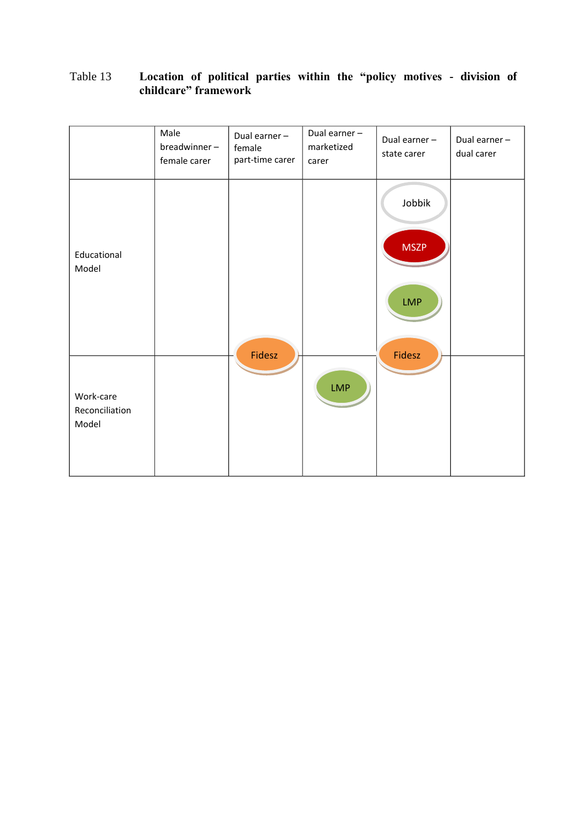## Table 13 **Location of political parties within the "policy motives - division of childcare" framework**

|                                      | Male<br>breadwinner-<br>female carer | Dual earner -<br>female<br>part-time carer | Dual earner -<br>marketized<br>carer | Dual earner -<br>state carer        | Dual earner -<br>dual carer |
|--------------------------------------|--------------------------------------|--------------------------------------------|--------------------------------------|-------------------------------------|-----------------------------|
| Educational<br>Model                 |                                      |                                            |                                      | Jobbik<br><b>MSZP</b><br><b>LMP</b> |                             |
| Work-care<br>Reconciliation<br>Model |                                      | Fidesz                                     | <b>LMP</b>                           | Fidesz                              |                             |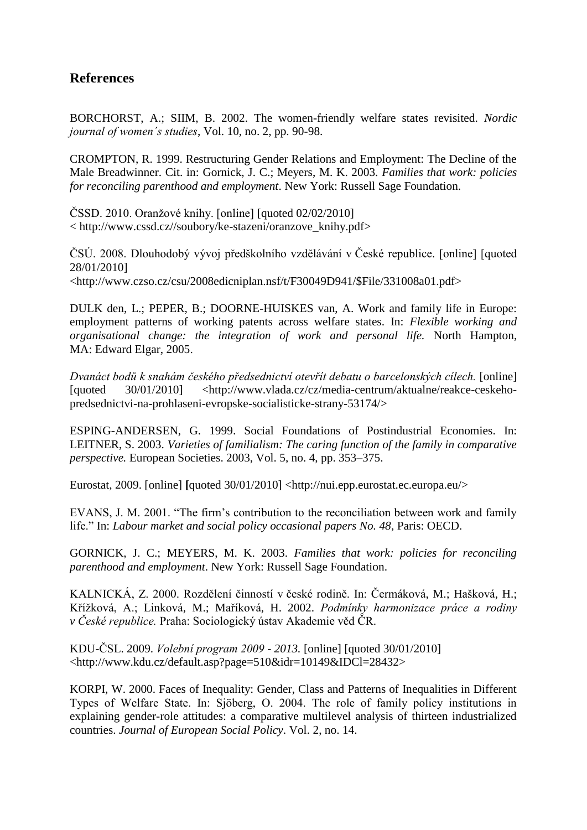# **References**

BORCHORST, A.; SIIM, B. 2002. The women-friendly welfare states revisited. *Nordic journal of women´s studies*, Vol. 10, no. 2, pp. 90-98.

CROMPTON, R. 1999. Restructuring Gender Relations and Employment: The Decline of the Male Breadwinner. Cit. in: Gornick, J. C.; Meyers, M. K. 2003. *Families that work: policies for reconciling parenthood and employment*. New York: Russell Sage Foundation.

ČSSD. 2010. Oranžové knihy. [online] [quoted 02/02/2010] < http://www.cssd.cz//soubory/ke-stazeni/oranzove\_knihy.pdf>

ČSÚ. 2008. Dlouhodobý vývoj předškolního vzdělávání v České republice. [online] [quoted 28/01/2010] [<http://www.czso.cz/csu/2008edicniplan.nsf/t/F30049D941/\\$File/331008a01.pdf>](http://www.czso.cz/csu/2008edicniplan.nsf/t/F30049D941/$File/331008a01.pdf)

DULK den, L.; PEPER, B.; DOORNE-HUISKES van, A. Work and family life in Europe: employment patterns of working patents across welfare states. In: *Flexible working and organisational change: the integration of work and personal life.* [North Hampton,](javascript:open_window(%22/F/5BUFH7YAKQF98DUNGYBDD1R3AU3DUNP9B4A54ENXJ9S9YKE6EL-01811?func=service&doc_number=000414143&line_number=0017&service_type=TAG%22);)  MA: [Edward Elgar,](javascript:open_window(%22/F/5BUFH7YAKQF98DUNGYBDD1R3AU3DUNP9B4A54ENXJ9S9YKE6EL-01811?func=service&doc_number=000414143&line_number=0017&service_type=TAG%22);) 2005.

*Dvanáct bodů k snahám českého předsednictví otevřít debatu o barcelonských cílech.* [online] [quoted 30/01/2010] <http://www.vlada.cz/cz/media-centrum/aktualne/reakce-ceskehopredsednictvi-na-prohlaseni-evropske-socialisticke-strany-53174/>

ESPING-ANDERSEN, G. 1999. Social Foundations of Postindustrial Economies. In: LEITNER, S. 2003. *Varieties of familialism: The caring function of the family in comparative perspective.* European Societies. 2003, Vol. 5, no. 4, pp. 353–375.

Eurostat, 2009. [online] **[**quoted 30/01/2010] <http://nui.epp.eurostat.ec.europa.eu/>

EVANS, J. M. 2001. "The firm's contribution to the reconciliation between work and family life." In: *Labour market and social policy occasional papers No. 48*, Paris: OECD.

GORNICK, J. C.; MEYERS, M. K. 2003. *Families that work: policies for reconciling parenthood and employment*. New York: Russell Sage Foundation.

KALNICKÁ, Z. 2000. Rozdělení činností v české rodině. In: Čermáková, M.; Hašková, H.; Křížková, A.; Linková, M.; Maříková, H. 2002. *Podmínky harmonizace práce a rodiny v České republice.* Praha: Sociologický ústav Akademie věd ČR.

KDU-ČSL. 2009. *Volební program 2009 - 2013.* [online] [quoted 30/01/2010] <http://www.kdu.cz/default.asp?page=510&idr=10149&IDCl=28432>

KORPI, W. 2000. Faces of Inequality: Gender, Class and Patterns of Inequalities in Different Types of Welfare State. In: Sjöberg, O. 2004. The role of family policy institutions in explaining gender-role attitudes: a comparative multilevel analysis of thirteen industrialized countries. *Journal of European Social Policy*. Vol. 2, no. 14.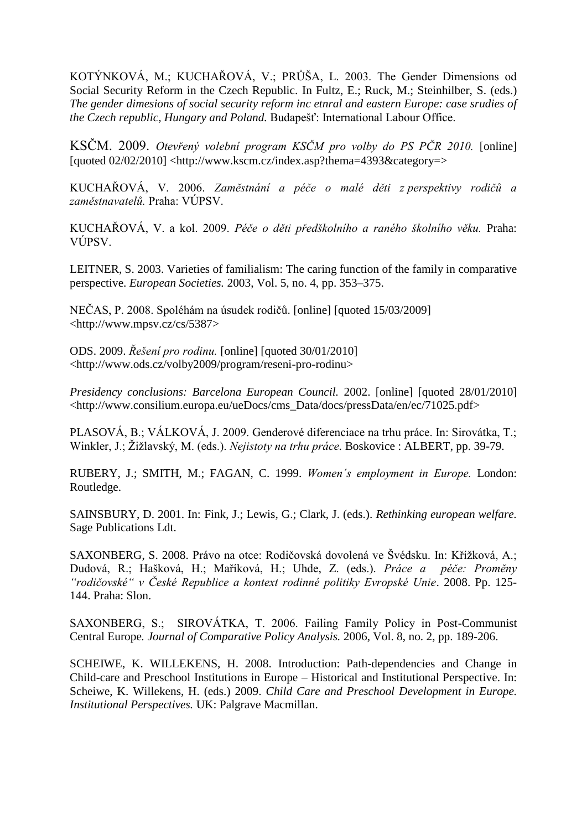KOTÝNKOVÁ, M.; KUCHAŘOVÁ, V.; PRŮŠA, L. 2003. The Gender Dimensions od Social Security Reform in the Czech Republic. In Fultz, E.; Ruck, M.; Steinhilber, S. (eds.) *The gender dimesions of social security reform inc etnral and eastern Europe: case srudies of the Czech republic, Hungary and Poland.* Budapešť: International Labour Office.

KSČM. 2009. *Otevřený volební program KSČM pro volby do PS PČR 2010.* [online] [quoted 02/02/2010] <http://www.kscm.cz/index.asp?thema=4393&category=>

KUCHAŘOVÁ, V. 2006. *Zaměstnání a péče o malé děti z perspektivy rodičů a zaměstnavatelů.* Praha: VÚPSV.

KUCHAŘOVÁ, V. a kol. 2009. *Péče o děti předškolního a raného školního věku.* Praha: VÚPSV.

LEITNER, S. 2003. Varieties of familialism: The caring function of the family in comparative perspective. *European Societies.* 2003, Vol. 5, no. 4, pp. 353–375.

NEČAS, P. 2008. Spoléhám na úsudek rodičů. [online] [quoted 15/03/2009] [<http://www.mpsv.cz/cs/5387>](http://www.mpsv.cz/cs/5387)

ODS. 2009. *Řešení pro rodinu.* [online] [quoted 30/01/2010] <http://www.ods.cz/volby2009/program/reseni-pro-rodinu>

*Presidency conclusions: Barcelona European Council.* 2002. [online] [quoted 28/01/2010] <http://www.consilium.europa.eu/ueDocs/cms\_Data/docs/pressData/en/ec/71025.pdf>

PLASOVÁ, B.; VÁLKOVÁ, J. 2009. Genderové diferenciace na trhu práce. In: Sirovátka, T.; Winkler, J.; Žižlavský, M. (eds.). *Nejistoty na trhu práce.* Boskovice : ALBERT, pp. 39-79.

RUBERY, J.; SMITH, M.; FAGAN, C. 1999. *Women´s employment in Europe.* London: Routledge.

SAINSBURY, D. 2001. In: Fink, J.; Lewis, G.; Clark, J. (eds.). *Rethinking european welfare.* Sage Publications Ldt.

SAXONBERG, S. 2008. Právo na otce: Rodičovská dovolená ve Švédsku. In: Křížková, A.; Dudová, R.; Hašková, H.; Maříková, H.; Uhde, Z. (eds.). *Práce a péče: Proměny "rodičovské" v České Republice a kontext rodinné politiky Evropské Unie*. 2008. Pp. 125- 144. Praha: Slon.

SAXONBERG, S.; SIROVÁTKA, T. 2006. Failing Family Policy in Post-Communist Central Europe*. Journal of Comparative Policy Analysis.* 2006, Vol. 8, no. 2, pp. 189-206.

SCHEIWE, K. WILLEKENS, H. 2008. Introduction: Path-dependencies and Change in Child-care and Preschool Institutions in Europe – Historical and Institutional Perspective. In: Scheiwe, K. Willekens, H. (eds.) 2009. *Child Care and Preschool Development in Europe. Institutional Perspectives.* UK: Palgrave Macmillan.